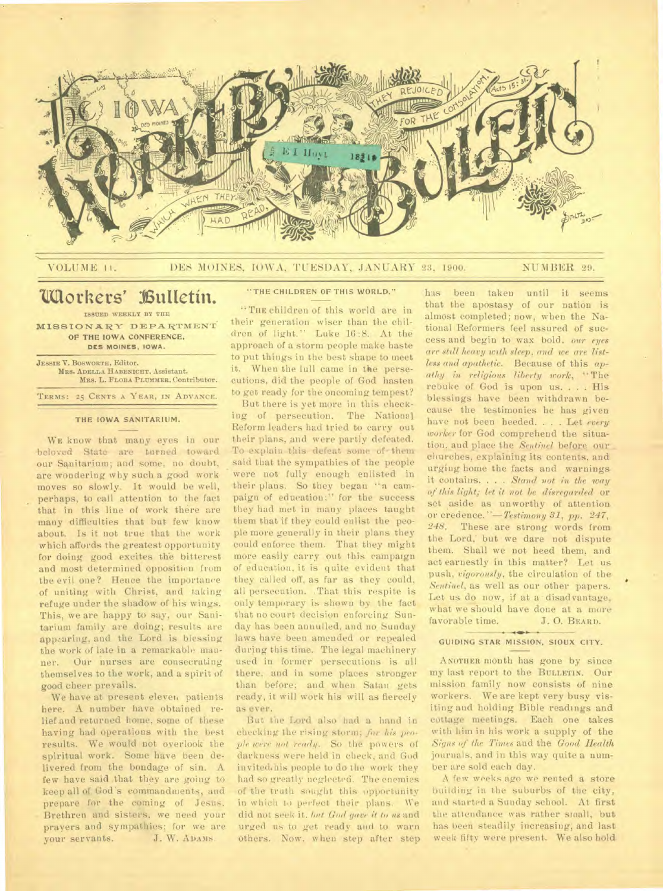

### VOLUME 11. DES MOINES, IOWA, TUESDAY, JANUARY 23, 1900. NUMBER 29.

# **lallothers' l6uttetiii.**

ISSUED WEEKLY BY THE MISSIONARY DEPARTMENT OF THE IOWA CONFERENCE, **DES MOINES, IOWA.** 

JESSIE V. BOSWORTH, Editor. MRS. ADELLA HABENICHT, Assistant. MRS. L. FLORA PLUMMER, Contributor. TERMS: 25 CENTS A YEAR, IN ADVANCE.

# THE IOWA SANITARIUM.

WE know that many eyes in our -beloved State are turned toward our Sanitarium; and some, no doubt, are wondering why such a good work moves so slowly. It would be well, perhaps, to call attention to the fact that in this line of work there are many difficulties that but few know about. Is it not true that the work which affords the greatest opportunity for doing good excites the bitterest and most determined opposition from the evil one? Hence the importance of uniting with Christ, and taking refuge under the shadow of his wings. This, we are happy to say, our Sanitarium family are doing; results are appearing, and the Lord is blessing the work of late in a remarkable manner. Our nurses are consecrating themselves to the work, and a spirit of good cheer prevails.

We have at present eleven patients here. A number have obtained relief and returned home, some of these having had operations with the best results. We would not overlook the spiritual work. Some have been delivered from the bondage of sin. A few have said that they are going to keep all of. God's commandments, and prepare for the coming of Jesus. Brethren and sisters, we need your prayers and sympathies; for we are<br>your servants. J. W. ADAMS. your servants.

# "THE CHILDREN OF THIS WORLD."

"THE children of this world are in their generation wiser than the children of light." Luke 16:8. At the approach of a storm people make haste to put things in the best shape to meet it. When the lull came in the persecutions, did the people of God hasten to get ready for the oncoming tempest?

But there is yet more in this checking of persecution. The National Reform leaders had tried to carry out their plans, and were partly defeated. To explain this defeat some of • them said that the sympathies of the people were not fully enough enlisted in their plans. So they began "a campaign of education;" for the success they had met in many places taught them that if they could enlist the people more generally in their plans they could enforce them. That they might more easily carry out this campaign of education, it is quite evident that they called off, as far as they could, all persecution. .That this respite is only temporary is shown by the fact that no court decision enforcing Sunday has been annulled, and no Sunday laws have been amended or repealed during this time. The legal machinery used in former persecutions is all there, and in some places stronger than before; and when Satan gets ready, it will work his will as fiercely as ever.

But the Lord also had a hand in checking the rising storm; *for his people were not ready.* So the powers of darkness were held in cheek, and God invited.his people to do the work they had so greatly neglected. The enemies of the truth sought this opportunity in which to perfect their plans. We did not seek it. *but God gave it to us* and urged us to get ready and to warn others. Now, when step after step

has been taken until it seems that the apostasy of our nation is almost completed; now, when the National Reformers feel assured of success and begin to wax bold. our *eyes are still heavy with sleep, and we are listless and apathetic.* Because of this *apathy in religious liberty work,* "The rebuke of God is upon us. . . . His blessings have been withdrawn because the testimonies he has given have not been heeded. . . . Let *every worker* for God comprehend the situation, and place the *Sentinel* before our churches, explaining its contents, and urging home the facts and warnings. it contains. . . . *Stand not in the way of this light; let it not be disregarded* or set aside as unworthy of attention. or credence. *"—Testimony 31, pp. 247,*  248. These are strong words from the Lord,' but we dare not dispute them. Shall we not heed them, and act earnestly in this matter? Let us. push, *vigorously,* the circulation of the *Sentinel,* as well as our other papers. Let us do now, if at a disad vantage, what we should have done at a more favorable time. J. O. BEARD.

#### GUIDING STAR MISSION, SIOUX CITY.

ANOTHER month has gone by since my last report to the BULLETIN. Our mission family now consists of nine workers. We are kept very busy visiting and holding Bible readings and cottage meetings. Each one takes with him in his work a supply of the *Signs of the Times* and the *Good Health*  journals, and in this way quite a number are sold each day.

A few weeks ago we rented a store building in the suburbs of the city, and started a Sunday school. At first the attendance was rather small, but has been steadily increasing; and last week fifty were present. We also hold.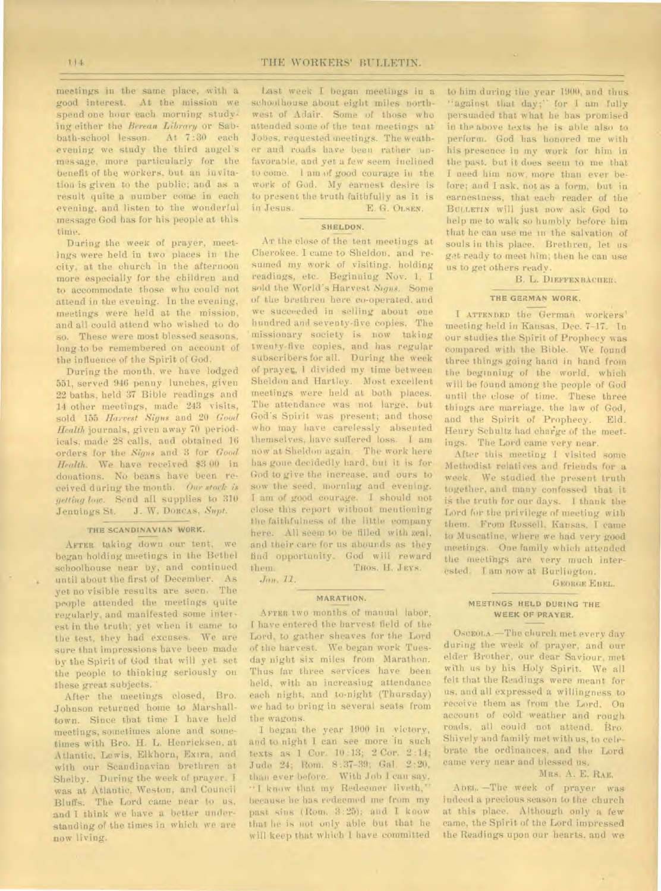meetings in the same place, with a good interest. At the mission we spend one hour each morning studying either the *Berean Library* or Sabbath-school lesson. At 7:30 each evening we study the third angels message, more particularly for the benefit of the workers, but an invitation is given to the public; and as a result quite a number come in each evening, and listen to the wonderful message God has for his people at this time.

During the week of prayer, meetings were held in two places in the city, at the church in the afternoon more especially for the children and to accommodate those who could not attend in the evening. In the evening, meetings were held at the mission, and all could attend who wished to do so. These were most blessed seasons, long to be remembered on account of the influence of the Spirit of God.

During the month, we have lodged 551, served 946 penny lunches, given 22 baths, held 37 Bible readings and 14 other meetings, made' 243 visits, sold 155 *harvest Signs* and 20 *Good Health* journals, given away 70 periodicals, made 28 calls, and obtained 16 orders for the *Signs* and 3 for *Good Health.* We have received \$3.00 in donations. No beans have been received during the month. *Our stock is getting low.* Send all supplies to 310 Jennings St. J. W. **DORCAS,** *Sept.* 

#### **THE SCANDINAVIAN WORK.**

AFTER taking down our tent, we began holding meetings in the Bethel schoolhouse near by, and continued until about the first of December. As yet no visible results are seen. The people attended the meetings quite regularly, and manifested some interest in the truth; yet when it came to the test, they had excuses. We are sure that impressions have been made by the Spirit of God that will yet set the people to thinking seriously on these great subjects.

After the meetings closed, Bro. Johnson returned home to Marshalltown. Since that time I have held meetings, sometimes alone and sometimes with Bro. H. L. Henricksen, at Atlantic, Lewis, Elkhorn, Exira, and with our Scandinavian brethren at Shelby. During the week of prayer. I was at Atlantic, Weston, and Council Bluffs. The Lord came near to us. and I think we have a better understanding of the times in which we are now living.

Last week I began meetings in a schoolhouse about eight miles northwest of Adair. Some of those who attended some of the tent meetings at. Jobes, requested meetings. The weather and roads have been rather **unfavorable,** and yet a few seem inclined to come. I am of good courage in the work of God. My earnest desire is to present the truth faithfully as it is in Jesus. E. G. **OLSEN.** 

### **SHELDON.**

Ar the close of the tent meetings at Cherokee. I came to Sheldon, and resumed my work of visiting. holding readings, etc. Beginning Nov. 1, I sold the World's Harvest *Signs.* Some of the brethren here co-operated, and we succeeded in selling about one hundred and seventy-five copies. The missionary society is **now** taking twenty-five copies, and has regular subscribers for all. During the week of prayer, I divided my time between Sheldon and Hartley. Most excellent meetings were held at both places. The attendance was not large, but God's Spirit was present; and those who may have carelessly absented themselves, have suffered loss. I am now at Sheldon again. - The work here has gone decidedly hard, but it is for God to give the increase. and ours to sow the seed, morning and evening. I am of good courage. I should not close this report without mentioning the faithfulness of the little company here. All seem to be filled with zeal, and their care for us abounds as they find opportunity. God will reward them. THOS. H. JEYS.

*Jan. 11.* 

#### **MARATHON.**

**AFTER** two months of manual labor, I have entered the harvest field of the Lord, to gather sheaves for the Lord of the harvest. We began work Tuesday night six miles from Marathon. Thus far three services have been held, with an increasing attendance each night, and to-night (Thursday) we had to bring in several seats from the wagons.

I began the year 1900 in victory, and tonight I can see more in such texts as 1 Cor. 10 :13; 2 Cor. 2 :14; Jude 24; Rom. 8:37-39; Gal. 2:20, than ever before. With Job I can say, " I know that my Redeemer liveth," because he has redeemed me from my past sins (Rom. 3:25); and I know that he is not only able but that be will keep that which I have committed

to him during the year 1900, and thus "against that day;" for I am fully persuaded that what he has promised in the above texts he is able also to perform. God has honored me with his presence in my work for him in the past, but it dues seem to me that. I need him now, more than ever before; and I ask, not as a form, but in earnestness, that each reader of the **BULLETIN will just DOW** ask God to help me to walk so humbly before him that he can use me in the salvation of souls in this place. Brethren, let us get ready to meet him; then he can use us to get others ready.

# B. L. **DIEFFENBACHER.**

# **THE GERMAN WORK.**

**I ATTENDED** the German workers' meeting held in Kansas, Dec. 7-17. In our studies the Spirit of Prophecy was compared with the Bible. We found three things going hand in hand from the beginning of the world, which will be found among the people of God until the close of time. These three things are marriage, the law of God, and the Spirit of Prophecy. Eld. Henry Schultz had charge of the meetings. The Lord came very near.

After this meeting I visited some Methodist relatives and friends for a week. We studied the present truth together, and many confessed that it is the truth for our days. I thank the Lord for the privilege of meeting with them. From Russell, Kansas. **I** came to Muscatine, where we had very good meetings. One family which attended the meetings are very much interested. I am now at Burlington.

**GEORGE EHEL.** 

# **MEETINGS HELD DURING THE WEEK OF PRAYER.**

OscEOLA.<sup>-The church</sup> met every day during the week of prayer, and our elder Brother, our dear Saviour, met with us by his Holy Spirit. We all felt that the Readings were meant for us, and all expressed a willingness to receive them as from the Lord. On account of cold weather and rough roads, all could not attend. Bro. Shively and family met with us, to celebrate the ordinances, and the Lord came very near and blessed us.

# Mas. A. E. RAE.

**ADEL.** —The week of prayer was indeed a precious season to the church at this place. Although only a few came, the Spirit of the Lord impressed the Readings upon our hearts, and we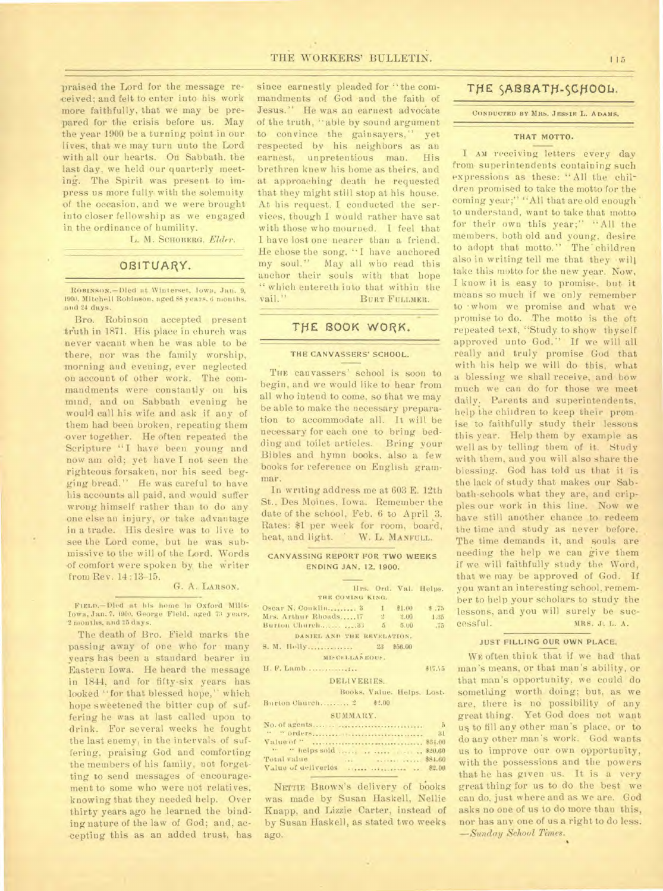praised the Lord for the message received; and felt to enter into his work more faithfully, that we may be prepared for the crisis before us. May the year 1900 be a turning point in our lives, that we may turn unto the Lord with all our hearts. On Sabbath, the last day, we held our quarterly meeting. The Spirit was present to impress us more fully, with the solemnity of the occasion, and we were brought into closer fellowship as we engaged in the ordinance of humility.

L. M. SCHOBERG, *Elder.* 

# OBITUARY.

**ROBINRON.— Died** at Wini erset, Iowa, Jan. 9, 1900, Mitchell Robinson, aged 88 years, 6 months. and 24 days.

Bro. Robinson accepted present truth in 1871. His place in church was never vacant when he was able to be there, nor was the family worship, morning and evening, ever neglected on account of other work. The commandments were constantly on his mind, and on Sabbath evening be would call his wife and ask if any of them had been broken, repeating them over together. He often repeated the Scripture "I have been young and now am old; yet have I not seen the righteous forsaken, nor his seed begging bread." He was careful to have his accounts all paid, and would suffer wrong himself rather than to do any one else an injury, or take advantage in a trade. His desire was to live to see the Lord come, but he was submissive to the will of the Lord. Words -of comfort were spoken by the writer from Rev. 14:13-15.

#### G. A. LARSON.

FIELn.—Died at his home in Oxford Mills, Iowa, Jan. 7, 1900. George Field, aged 73 years, -2 months, and 25 days.

The death of Bro. Field marks the passing away of one who for many years has been a standard bearer in Eastern Iowa. He heard the message in 1844, and for fifty-six years has looked "for that blessed hope," which hope sweetened the bitter cup of suffering he was at last called upon to drink. For several weeks he fought the last enemy, in the intervals of suffering, praising God and comforting the members of his family, not forgetting to send messages of encouragement to some who were not relatives, knowing that they needed help. Over thirty years ago he learned the binding nature of the law of God; and, accepting this as an added trust, has

since earnestly pleaded for " the commandments of God and the faith of Jesus." He was an earnest advocate of the truth, "able by sound argument to convince the gainsayers," yet respected by his neighbors as an earnest, unpretentious man. His brethren knew his home as theirs, and at approaching death he requested that they might still stop at his house. At his request, I conducted the services, though I would rather have sat with those who mourned. I feel that I have lost one nearer than a friend. He chose the song. "I have anchored my soul." May all who read this anchor their souls with that hope " which entereth into that within the

vail." BURT FULLMER.

# THE BOOK WORK.

#### **THE CANVASSERS' SCHOOL.**

THE canvassers' school is soon to begin, and we would like to hear from all who intend to come, so that we may be able to make the necessary preparation to accommodate all. It will be necessary for each one to bring bedding and toilet articles. Bring your Bibles and hymn books, also a few books for reference on English grammar.

In writing address me at 603 E. 12th St., Des Moines, Iowa. Remember the date of the school, Feb. 6 to April 3. Rates: \$1 per week for room, board, heat, and light. W. L. MANFULL.

#### **CANVASSING REPORT FOR TWO WEEKS ENDING JAN. 12, 1900.**

#### Hrs. Ord. Val. Helps. **THE COMING KING.**  Oscar N. Conklin ......... 3 1 \$1.00 \$ .75 Mrs. Arthur Rhoads.....17 2 2.00 1.35 Burton Church............... 33 5 5.00 .75 **DANIEL ANO THE REVELATION. S. M.** Holly 23 \$56.00 **MD-CF.I.LANEOIO. II.** P. Lamb 4172/5

DELIVERIES. Books. Value. Helps. Lost.

Burton Church..........  $2 \qquad$  \$2.00

#### SUMMARY.

|                            | $-5$ |
|----------------------------|------|
|                            |      |
|                            |      |
| " "helps sold      \$20.60 |      |
| Total value                |      |
|                            |      |

NETTIE BROWN's delivery of books was made by Susan Haskell, Nellie Knapp, and Lizzie Carter, instead of by Susan Haskell, as stated two weeks ago.

# THE SABBATH-SCHOOL.

CONDUCTED BY MRS. JESSIE L. ADAMS.

# **THAT** MOTTO.

I AM receiving letters every day from, superintendents containing such expressions as these: "All the children promised to take the motto for the coming year;" "All that are old enough to understand, want to take that motto for their own this year;" "All the members, both old and young, desire to adopt that motto." The children also in writing tell me that they will take this motto for the new year. Now, I know it is easy to promise. but it means so much if we only remember to • whom we promise and what we promise to do. The motto is the oft repeated text, 'Study to show thyself approved unto God." If we will all really and truly promise God that with his help we will do this, what a blessing we shall receive, and how much we can do for those we meet daily. Parents and superintendents. help the children to keep their promise to faithfully study their lessons this year. Help them by example as well as by telling them of it. Study with them, and you will also share the blessing. God has told us that it is the lack of study that makes our Sabbath-schools what they are, and cripples our work in this line. Now we have still another chance to redeem the time and study as never before. The time demands it, and souls are needing the help we can give them if we will faithfully study the Word, that we may be approved of God. If you want an interesting school, remember to help your scholars to study the lessons, and you will surely be successful. MRS. J. L. A.

# **JUST FILLING OUR OWN PLACE.**

WE often think that if we had that man's means, or that man's ability, or that man's opportunity, we could do something worth doing; but, as we are, there is no possibility of any great thing. Yet God does not want us to fill any other man's place, or to do any other man's work. God wants us to improve our own opportunity, with the possessions and the powers that he has given us. It is a very great thing for us to do the best we can do, just where and as we are. God asks no one of us to do more than this, nor has any one of us a right to do less. *—Sunday School Times.*